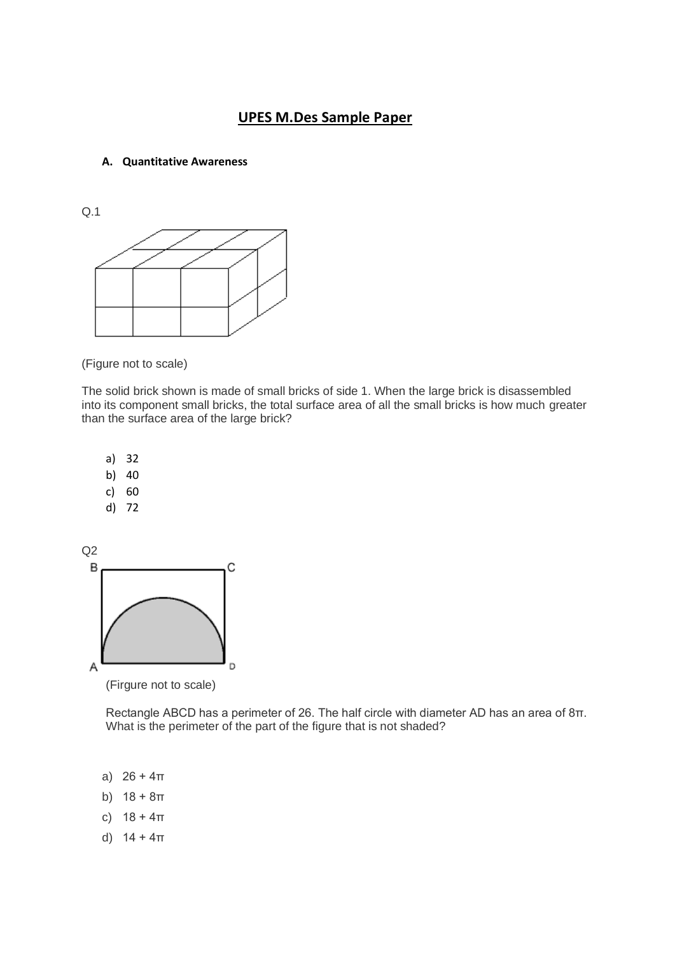# **UPES M.Des Sample Paper**

#### **A. Quantitative Awareness**

Q.1



(Figure not to scale)

The solid brick shown is made of small bricks of side 1. When the large brick is disassembled into its component small bricks, the total surface area of all the small bricks is how much greater than the surface area of the large brick?



(Firgure not to scale)

Rectangle ABCD has a perimeter of 26. The half circle with diameter AD has an area of 8π. What is the perimeter of the part of the figure that is not shaded?

- a)  $26 + 4\pi$
- b)  $18 + 8\pi$
- c)  $18 + 4\pi$
- d)  $14 + 4\pi$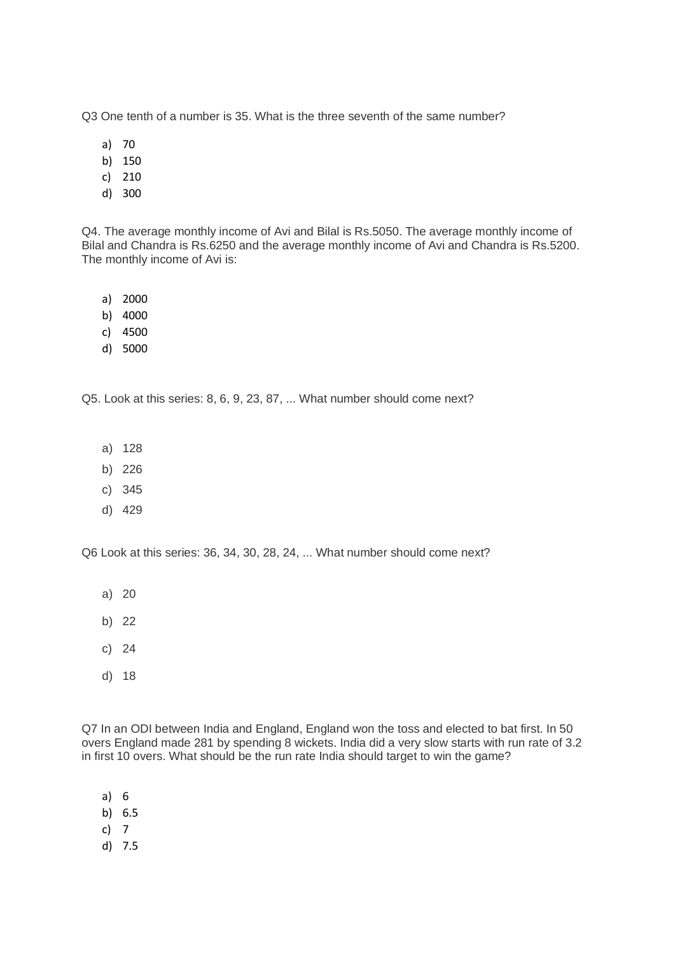Q3 One tenth of a number is 35. What is the three seventh of the same number?

- a) 70
- b) 150
- c) 210
- d) 300

Q4. The average monthly income of Avi and Bilal is Rs.5050. The average monthly income of Bilal and Chandra is Rs.6250 and the average monthly income of Avi and Chandra is Rs.5200. The monthly income of Avi is:

- a) 2000
- b) 4000
- c) 4500
- d) 5000

Q5. Look at this series: 8, 6, 9, 23, 87, ... What number should come next?

- a) 128
- b) 226
- c) 345
- d) 429

Q6 Look at this series: 36, 34, 30, 28, 24, ... What number should come next?

- a) 20
- b) 22
- c) 24
- d) 18

Q7 In an ODI between India and England, England won the toss and elected to bat first. In 50 overs England made 281 by spending 8 wickets. India did a very slow starts with run rate of 3.2 in first 10 overs. What should be the run rate India should target to win the game?

- a) 6
- b) 6.5
- c) 7
- d) 7.5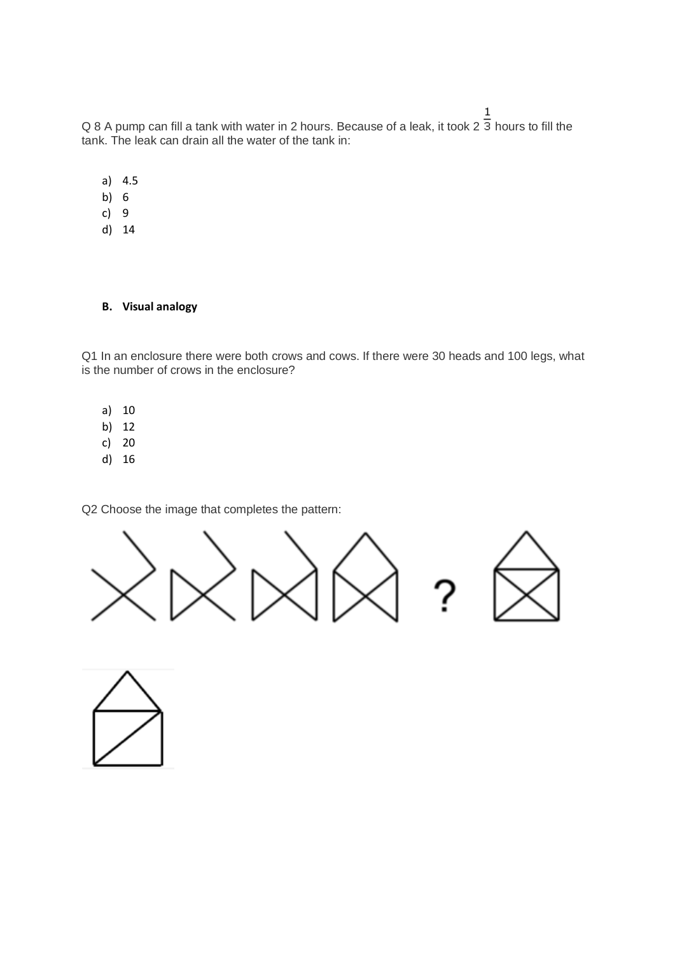Q 8 A pump can fill a tank with water in 2 hours. Because of a leak, it took 2  $\frac{1}{3}$  hours to fill the tank. The leak can drain all the water of the tank in:

- a) 4.5
- b) 6
- c) 9
- d) 14

## **B. Visual analogy**

Q1 In an enclosure there were both crows and cows. If there were 30 heads and 100 legs, what is the number of crows in the enclosure?

- a) 10
- b) 12
- c) 20
- d) 16

Q2 Choose the image that completes the pattern:



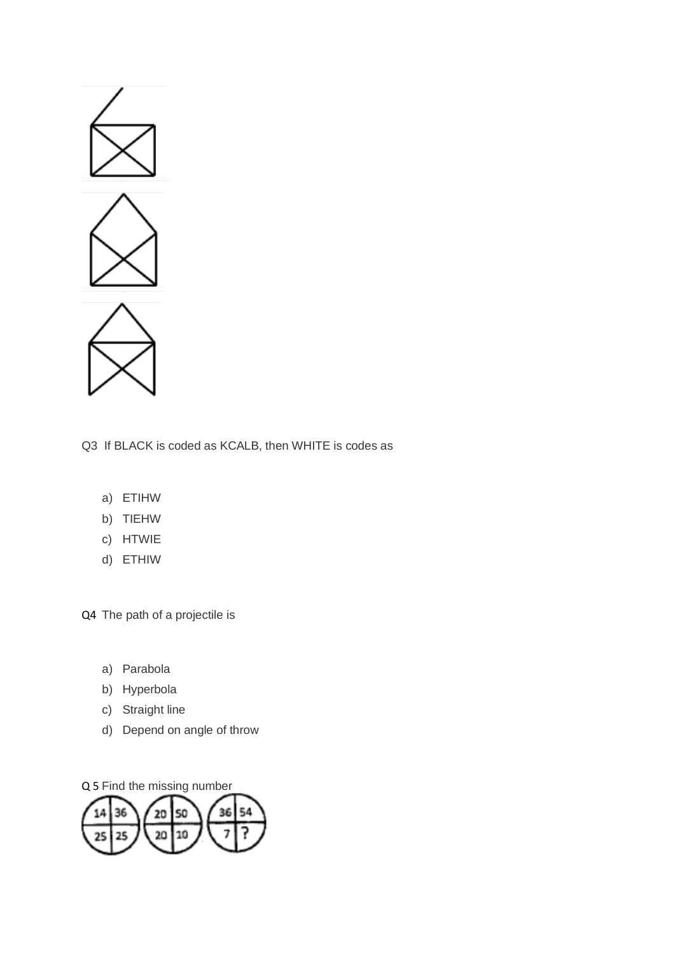

Q3 If BLACK is coded as KCALB, then WHITE is codes as

- a) ETIHW
- b) TIEHW
- c) HTWIE
- d) ETHIW

Q4 The path of a projectile is

- a) Parabola
- b) Hyperbola
- c) Straight line
- d) Depend on angle of throw

Q 5 Find the missing number

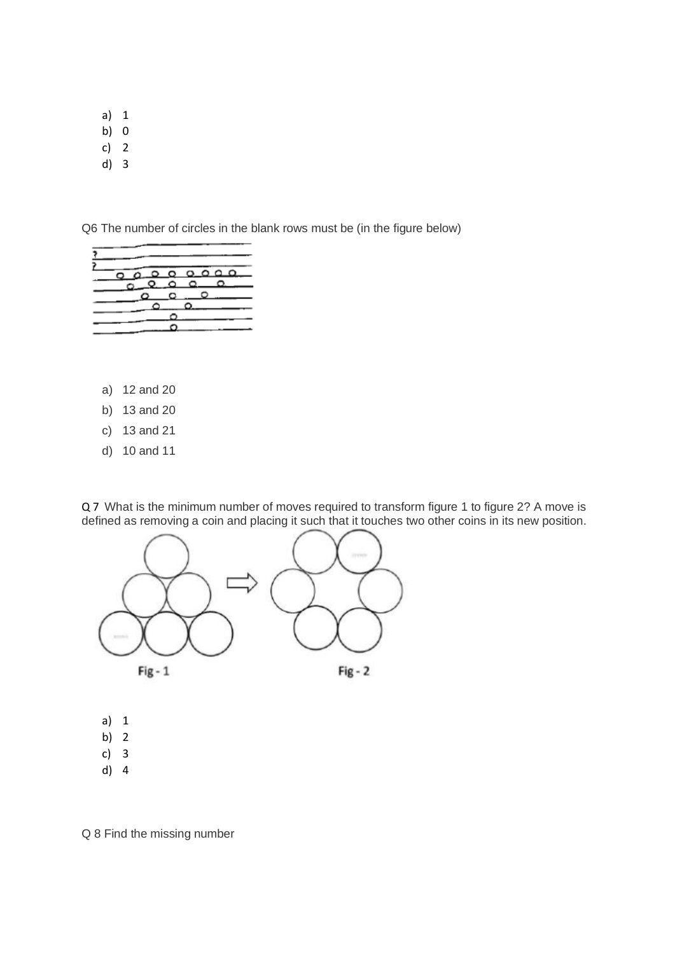- a) 1
- b) 0
- c) 2
- d) 3

Q6 The number of circles in the blank rows must be (in the figure below)



- a) 12 and 20
- b) 13 and 20
- c) 13 and 21
- d) 10 and 11

Q 7 What is the minimum number of moves required to transform figure 1 to figure 2? A move is defined as removing a coin and placing it such that it touches two other coins in its new position.



- a) 1
- b) 2
- c) 3
- d) 4

Q 8 Find the missing number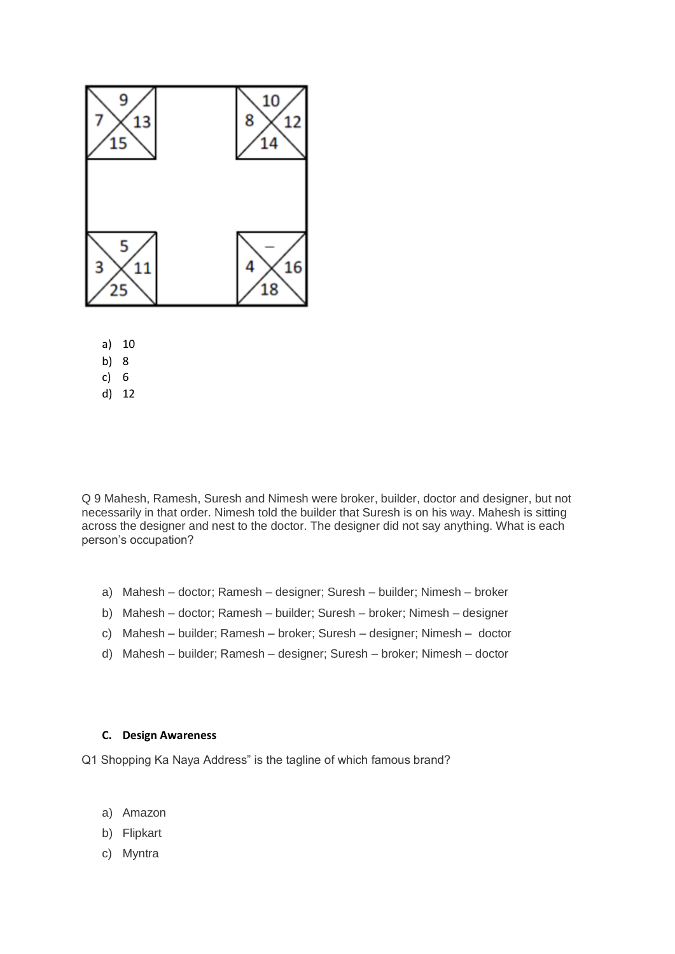

- a) 10
- b) 8
- c) 6
- d) 12

Q 9 Mahesh, Ramesh, Suresh and Nimesh were broker, builder, doctor and designer, but not necessarily in that order. Nimesh told the builder that Suresh is on his way. Mahesh is sitting across the designer and nest to the doctor. The designer did not say anything. What is each person's occupation?

- a) Mahesh doctor; Ramesh designer; Suresh builder; Nimesh broker
- b) Mahesh doctor; Ramesh builder; Suresh broker; Nimesh designer
- c) Mahesh builder; Ramesh broker; Suresh designer; Nimesh doctor
- d) Mahesh builder; Ramesh designer; Suresh broker; Nimesh doctor

#### **C. Design Awareness**

Q1 Shopping Ka Naya Address" is the tagline of which famous brand?

- a) Amazon
- b) Flipkart
- c) Myntra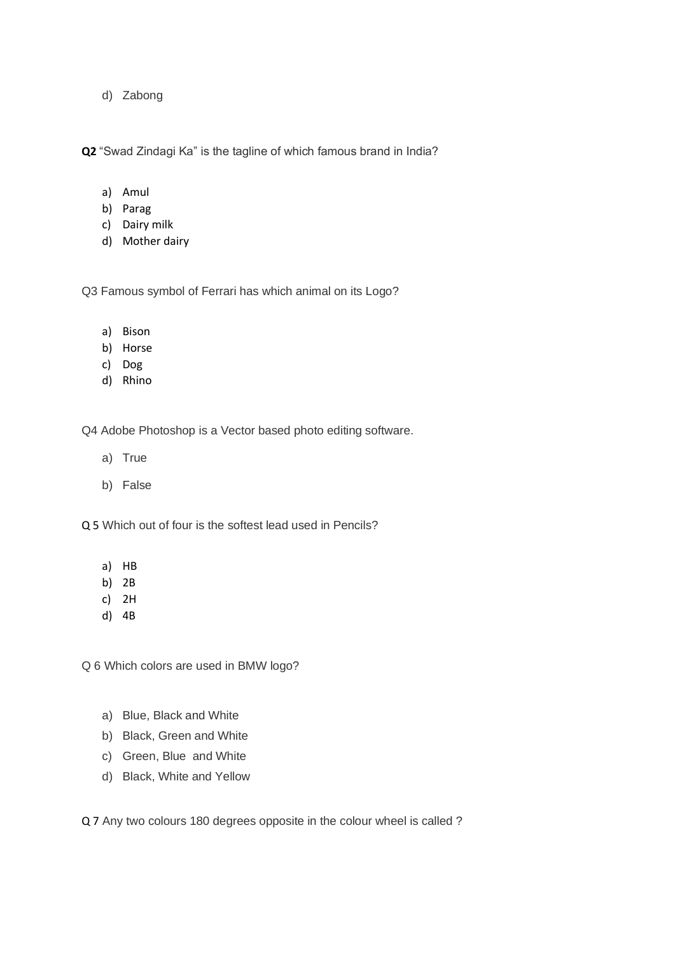d) Zabong

**Q2** "Swad Zindagi Ka" is the tagline of which famous brand in India?

- a) Amul
- b) Parag
- c) Dairy milk
- d) Mother dairy

Q3 Famous symbol of Ferrari has which animal on its Logo?

- a) Bison
- b) Horse
- c) Dog
- d) Rhino

Q4 Adobe Photoshop is a Vector based photo editing software.

- a) True
- b) False

Q 5 Which out of four is the softest lead used in Pencils?

- a) HB
- b) 2B
- c) 2H
- d) 4B

Q 6 Which colors are used in BMW logo?

- a) Blue, Black and White
- b) Black, Green and White
- c) Green, Blue and White
- d) Black, White and Yellow

Q 7 Any two colours 180 degrees opposite in the colour wheel is called ?